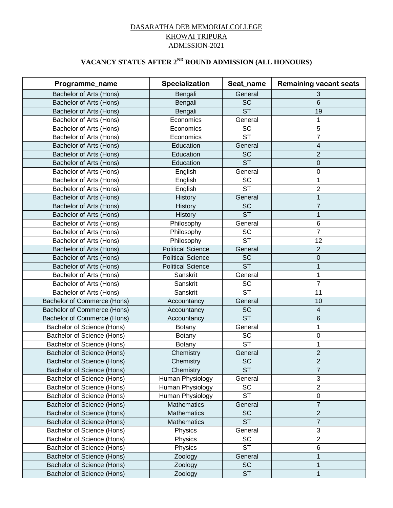## DASARATHA DEB MEMORIALCOLLEGE KHOWAI TRIPURA ADMISSION-2021

## **VACANCY STATUS AFTER 2ND ROUND ADMISSION (ALL HONOURS)**

| Programme_name              | <b>Specialization</b>    | Seat_name              | <b>Remaining vacant seats</b> |
|-----------------------------|--------------------------|------------------------|-------------------------------|
| Bachelor of Arts (Hons)     | Bengali                  | General                | 3                             |
| Bachelor of Arts (Hons)     | Bengali                  | <b>SC</b>              | 6                             |
| Bachelor of Arts (Hons)     | Bengali                  | $\overline{\text{ST}}$ | 19                            |
| Bachelor of Arts (Hons)     | Economics                | General                | 1                             |
| Bachelor of Arts (Hons)     | Economics                | <b>SC</b>              | 5                             |
| Bachelor of Arts (Hons)     | Economics                | $\overline{\text{ST}}$ | 7                             |
| Bachelor of Arts (Hons)     | Education                | General                | 4                             |
| Bachelor of Arts (Hons)     | Education                | <b>SC</b>              | $\overline{2}$                |
| Bachelor of Arts (Hons)     | Education                | <b>ST</b>              | $\mathbf 0$                   |
| Bachelor of Arts (Hons)     | English                  | General                | $\boldsymbol{0}$              |
| Bachelor of Arts (Hons)     | English                  | <b>SC</b>              | 1                             |
| Bachelor of Arts (Hons)     | English                  | <b>ST</b>              | 2                             |
| Bachelor of Arts (Hons)     | History                  | General                | 1                             |
| Bachelor of Arts (Hons)     | History                  | <b>SC</b>              | $\overline{7}$                |
| Bachelor of Arts (Hons)     | History                  | <b>ST</b>              | $\mathbf{1}$                  |
| Bachelor of Arts (Hons)     | Philosophy               | General                | $\,6$                         |
| Bachelor of Arts (Hons)     | Philosophy               | SC                     | $\overline{7}$                |
| Bachelor of Arts (Hons)     | Philosophy               | <b>ST</b>              | 12                            |
| Bachelor of Arts (Hons)     | <b>Political Science</b> | General                | $\overline{2}$                |
| Bachelor of Arts (Hons)     | <b>Political Science</b> | <b>SC</b>              | $\pmb{0}$                     |
| Bachelor of Arts (Hons)     | <b>Political Science</b> | <b>ST</b>              | 1                             |
| Bachelor of Arts (Hons)     | Sanskrit                 | General                | 1                             |
| Bachelor of Arts (Hons)     | Sanskrit                 | SC                     | 7                             |
| Bachelor of Arts (Hons)     | Sanskrit                 | <b>ST</b>              | 11                            |
| Bachelor of Commerce (Hons) | Accountancy              | General                | 10                            |
| Bachelor of Commerce (Hons) | Accountancy              | <b>SC</b>              | 4                             |
| Bachelor of Commerce (Hons) | Accountancy              | <b>ST</b>              | $6\phantom{1}$                |
| Bachelor of Science (Hons)  | Botany                   | General                | 1                             |
| Bachelor of Science (Hons)  | Botany                   | SC                     | $\boldsymbol{0}$              |
| Bachelor of Science (Hons)  | Botany                   | <b>ST</b>              | 1                             |
| Bachelor of Science (Hons)  | Chemistry                | General                | $\overline{c}$                |
| Bachelor of Science (Hons)  | Chemistry                | <b>SC</b>              | $\overline{2}$                |
| Bachelor of Science (Hons)  | Chemistry                | <b>ST</b>              | $\overline{7}$                |
| Bachelor of Science (Hons)  | Human Physiology         | General                | $\mathbf{3}$                  |
| Bachelor of Science (Hons)  | Human Physiology         | <b>SC</b>              | $\overline{2}$                |
| Bachelor of Science (Hons)  | Human Physiology         | <b>ST</b>              | $\pmb{0}$                     |
| Bachelor of Science (Hons)  | Mathematics              | General                | $\overline{7}$                |
| Bachelor of Science (Hons)  | Mathematics              | <b>SC</b>              | $\overline{2}$                |
| Bachelor of Science (Hons)  | <b>Mathematics</b>       | <b>ST</b>              | $\overline{7}$                |
| Bachelor of Science (Hons)  | Physics                  | General                | $\sqrt{3}$                    |
| Bachelor of Science (Hons)  | Physics                  | SC                     | $\overline{2}$                |
| Bachelor of Science (Hons)  | Physics                  | <b>ST</b>              | 6                             |
| Bachelor of Science (Hons)  | Zoology                  | General                | 1                             |
| Bachelor of Science (Hons)  | Zoology                  | <b>SC</b>              | $\mathbf 1$                   |
| Bachelor of Science (Hons)  | Zoology                  | <b>ST</b>              | $\mathbf{1}$                  |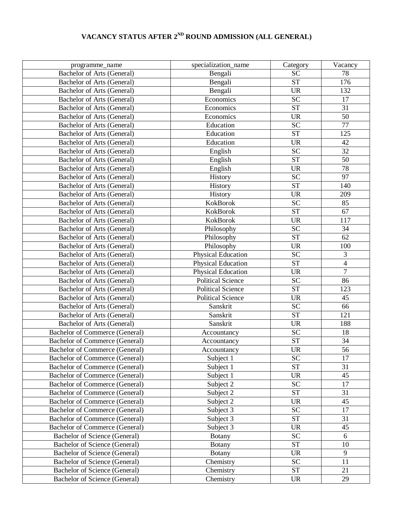## **VACANCY STATUS AFTER 2ND ROUND ADMISSION (ALL GENERAL)**

| programme_name                        | specialization_name       | Category               | Vacancy        |
|---------------------------------------|---------------------------|------------------------|----------------|
| Bachelor of Arts (General)            | Bengali                   | <b>SC</b>              | 78             |
| Bachelor of Arts (General)            | Bengali                   | <b>ST</b>              | 176            |
| Bachelor of Arts (General)            | Bengali                   | <b>UR</b>              | 132            |
| Bachelor of Arts (General)            | Economics                 | <b>SC</b>              | 17             |
| Bachelor of Arts (General)            | Economics                 | <b>ST</b>              | 31             |
| Bachelor of Arts (General)            | Economics                 | <b>UR</b>              | 50             |
| Bachelor of Arts (General)            | Education                 | <b>SC</b>              | 77             |
| Bachelor of Arts (General)            | Education                 | <b>ST</b>              | 125            |
| Bachelor of Arts (General)            | Education                 | <b>UR</b>              | 42             |
| Bachelor of Arts (General)            | English                   | $\overline{SC}$        | 32             |
| Bachelor of Arts (General)            | English                   | <b>ST</b>              | 50             |
| Bachelor of Arts (General)            | English                   | <b>UR</b>              | 78             |
| Bachelor of Arts (General)            | History                   | <b>SC</b>              | 97             |
| Bachelor of Arts (General)            | History                   | <b>ST</b>              | 140            |
| Bachelor of Arts (General)            | History                   | <b>UR</b>              | 209            |
| Bachelor of Arts (General)            | KokBorok                  | <b>SC</b>              | 85             |
| Bachelor of Arts (General)            | <b>KokBorok</b>           | <b>ST</b>              | 67             |
| Bachelor of Arts (General)            | KokBorok                  | <b>UR</b>              | 117            |
| Bachelor of Arts (General)            | Philosophy                | SC                     | 34             |
| Bachelor of Arts (General)            | Philosophy                | <b>ST</b>              | 62             |
| Bachelor of Arts (General)            | Philosophy                | <b>UR</b>              | 100            |
| Bachelor of Arts (General)            | <b>Physical Education</b> | <b>SC</b>              | $\overline{3}$ |
| Bachelor of Arts (General)            | <b>Physical Education</b> | $\overline{\text{ST}}$ | $\overline{4}$ |
| Bachelor of Arts (General)            | <b>Physical Education</b> | <b>UR</b>              | $\overline{7}$ |
| Bachelor of Arts (General)            | <b>Political Science</b>  | <b>SC</b>              | 86             |
| Bachelor of Arts (General)            | <b>Political Science</b>  | <b>ST</b>              | 123            |
| Bachelor of Arts (General)            | <b>Political Science</b>  | <b>UR</b>              | 45             |
| Bachelor of Arts (General)            | Sanskrit                  | <b>SC</b>              | 66             |
| Bachelor of Arts (General)            | Sanskrit                  | ST                     | 121            |
| Bachelor of Arts (General)            | Sanskrit                  | <b>UR</b>              | 188            |
| <b>Bachelor of Commerce (General)</b> | Accountancy               | <b>SC</b>              | 18             |
| Bachelor of Commerce (General)        | Accountancy               | <b>ST</b>              | 34             |
| Bachelor of Commerce (General)        | Accountancy               | UR                     | 56             |
| <b>Bachelor of Commerce (General)</b> | Subject 1                 | <b>SC</b>              | 17             |
| <b>Bachelor of Commerce (General)</b> | Subject 1                 | <b>ST</b>              | 31             |
| Bachelor of Commerce (General)        | Subject 1                 | <b>UR</b>              | 45             |
| <b>Bachelor of Commerce (General)</b> | Subject 2                 | <b>SC</b>              | 17             |
| <b>Bachelor of Commerce (General)</b> | Subject 2                 | <b>ST</b>              | 31             |
| Bachelor of Commerce (General)        | Subject 2                 | <b>UR</b>              | 45             |
| <b>Bachelor of Commerce (General)</b> | Subject 3                 | <b>SC</b>              | 17             |
| Bachelor of Commerce (General)        | Subject 3                 | <b>ST</b>              | 31             |
| Bachelor of Commerce (General)        | Subject 3                 | <b>UR</b>              | 45             |
| Bachelor of Science (General)         | <b>Botany</b>             | $\overline{SC}$        | 6              |
| Bachelor of Science (General)         | Botany                    | <b>ST</b>              | 10             |
| Bachelor of Science (General)         | <b>Botany</b>             | <b>UR</b>              | 9              |
| Bachelor of Science (General)         | Chemistry                 | <b>SC</b>              | 11             |
| Bachelor of Science (General)         | Chemistry                 | <b>ST</b>              | 21             |
| Bachelor of Science (General)         | Chemistry                 | <b>UR</b>              | 29             |